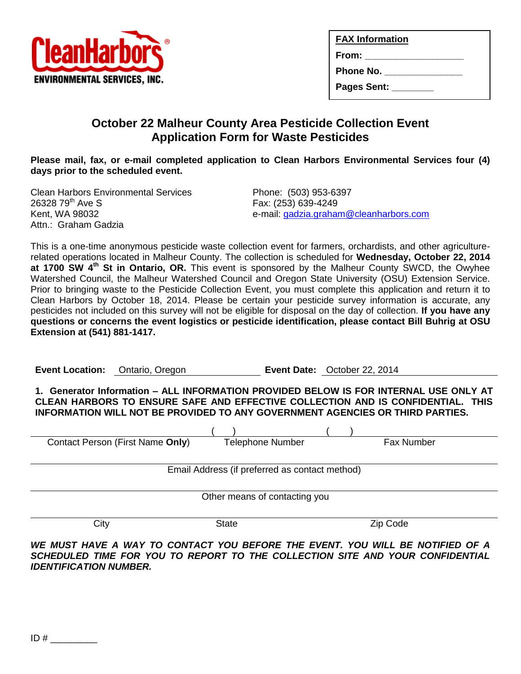

| <b>FAX Information</b>                                         |  |
|----------------------------------------------------------------|--|
| $From: \_\_\_\_\_\_\_\_\_\_\_\_\_\_\_\_\_\_\_\_\_\_\_\_\_\_\_$ |  |
| <b>Phone No.</b>                                               |  |
| Pages Sent: ________                                           |  |
|                                                                |  |

# **October 22 Malheur County Area Pesticide Collection Event Application Form for Waste Pesticides**

**Please mail, fax, or e-mail completed application to Clean Harbors Environmental Services four (4) days prior to the scheduled event.**

Clean Harbors Environmental Services Phone: (503) 953-6397 26328 79th Ave S Fax: (253) 639-4249 Attn.: Graham Gadzia

e-mail: [gadzia.graham@cleanharbors.com](mailto:gadzia.graham@cleanharbors.com)

This is a one-time anonymous pesticide waste collection event for farmers, orchardists, and other agriculturerelated operations located in Malheur County. The collection is scheduled for **Wednesday, October 22, 2014 at 1700 SW 4th St in Ontario, OR.** This event is sponsored by the Malheur County SWCD, the Owyhee Watershed Council, the Malheur Watershed Council and Oregon State University (OSU) Extension Service. Prior to bringing waste to the Pesticide Collection Event, you must complete this application and return it to Clean Harbors by October 18, 2014. Please be certain your pesticide survey information is accurate, any pesticides not included on this survey will not be eligible for disposal on the day of collection. **If you have any questions or concerns the event logistics or pesticide identification, please contact Bill Buhrig at OSU Extension at (541) 881-1417.**

**Event Location:** Ontario, Oregon **Event Date:** October 22, 2014

**1. Generator Information – ALL INFORMATION PROVIDED BELOW IS FOR INTERNAL USE ONLY AT CLEAN HARBORS TO ENSURE SAFE AND EFFECTIVE COLLECTION AND IS CONFIDENTIAL. THIS INFORMATION WILL NOT BE PROVIDED TO ANY GOVERNMENT AGENCIES OR THIRD PARTIES.**

| Contact Person (First Name Only)               | <b>Telephone Number</b> | <b>Fax Number</b> |  |  |  |
|------------------------------------------------|-------------------------|-------------------|--|--|--|
|                                                |                         |                   |  |  |  |
| Email Address (if preferred as contact method) |                         |                   |  |  |  |
|                                                |                         |                   |  |  |  |
|                                                |                         |                   |  |  |  |
| Other means of contacting you                  |                         |                   |  |  |  |
|                                                |                         |                   |  |  |  |
| City                                           | <b>State</b>            | Zip Code          |  |  |  |
|                                                |                         |                   |  |  |  |

*WE MUST HAVE A WAY TO CONTACT YOU BEFORE THE EVENT. YOU WILL BE NOTIFIED OF A SCHEDULED TIME FOR YOU TO REPORT TO THE COLLECTION SITE AND YOUR CONFIDENTIAL IDENTIFICATION NUMBER.*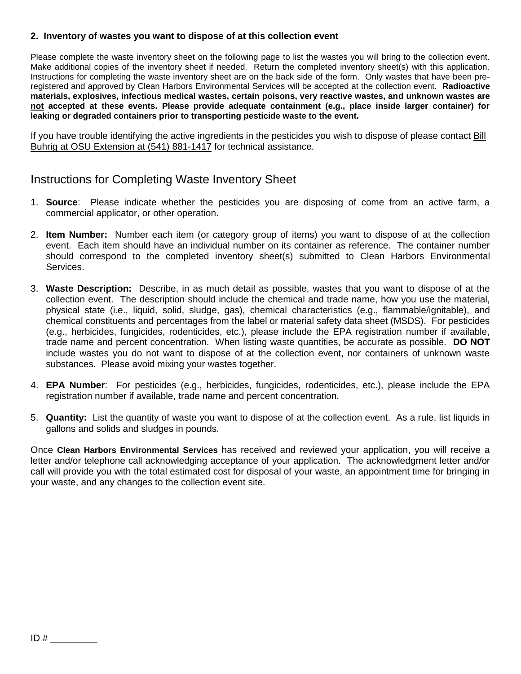#### **2. Inventory of wastes you want to dispose of at this collection event**

Please complete the waste inventory sheet on the following page to list the wastes you will bring to the collection event. Make additional copies of the inventory sheet if needed. Return the completed inventory sheet(s) with this application. Instructions for completing the waste inventory sheet are on the back side of the form. Only wastes that have been preregistered and approved by Clean Harbors Environmental Services will be accepted at the collection event. **Radioactive materials, explosives, infectious medical wastes, certain poisons, very reactive wastes, and unknown wastes are not accepted at these events. Please provide adequate containment (e.g., place inside larger container) for leaking or degraded containers prior to transporting pesticide waste to the event.**

If you have trouble identifying the active ingredients in the pesticides you wish to dispose of please contact Bill Buhrig at OSU Extension at (541) 881-1417 for technical assistance.

## Instructions for Completing Waste Inventory Sheet

- 1. **Source**: Please indicate whether the pesticides you are disposing of come from an active farm, a commercial applicator, or other operation.
- 2. **Item Number:** Number each item (or category group of items) you want to dispose of at the collection event. Each item should have an individual number on its container as reference. The container number should correspond to the completed inventory sheet(s) submitted to Clean Harbors Environmental Services.
- 3. **Waste Description:** Describe, in as much detail as possible, wastes that you want to dispose of at the collection event. The description should include the chemical and trade name, how you use the material, physical state (i.e., liquid, solid, sludge, gas), chemical characteristics (e.g., flammable/ignitable), and chemical constituents and percentages from the label or material safety data sheet (MSDS). For pesticides (e.g., herbicides, fungicides, rodenticides, etc.), please include the EPA registration number if available, trade name and percent concentration. When listing waste quantities, be accurate as possible. **DO NOT** include wastes you do not want to dispose of at the collection event, nor containers of unknown waste substances. Please avoid mixing your wastes together.
- 4. **EPA Number**: For pesticides (e.g., herbicides, fungicides, rodenticides, etc.), please include the EPA registration number if available, trade name and percent concentration.
- 5. **Quantity:** List the quantity of waste you want to dispose of at the collection event. As a rule, list liquids in gallons and solids and sludges in pounds.

Once **Clean Harbors Environmental Services** has received and reviewed your application, you will receive a letter and/or telephone call acknowledging acceptance of your application. The acknowledgment letter and/or call will provide you with the total estimated cost for disposal of your waste, an appointment time for bringing in your waste, and any changes to the collection event site.